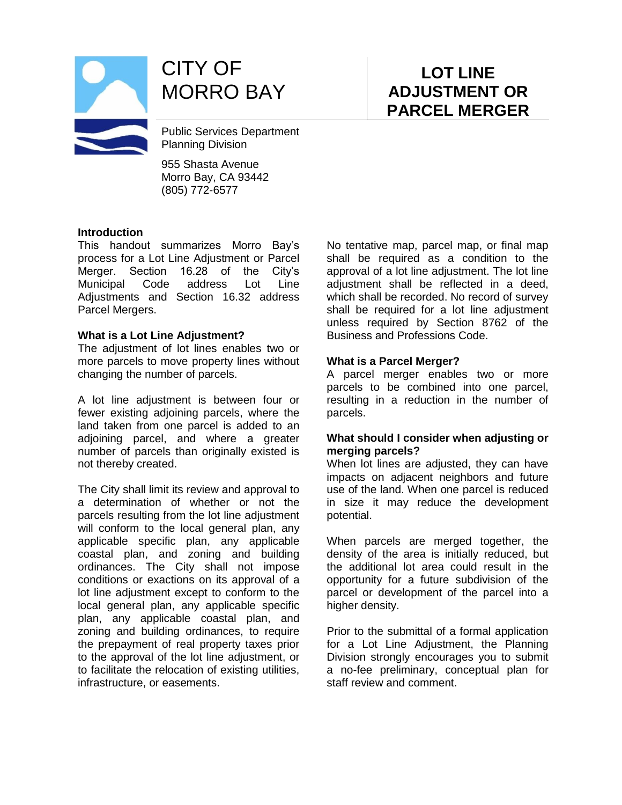

CITY OF MORRO BAY

Public Services Department Planning Division

955 Shasta Avenue Morro Bay, CA 93442 (805) 772-6577

#### **Introduction**

This handout summarizes Morro Bay's process for a Lot Line Adjustment or Parcel Merger. Section 16.28 of the City's Municipal Code address Lot Line Adjustments and Section 16.32 address Parcel Mergers.

#### **What is a Lot Line Adjustment?**

The adjustment of lot lines enables two or more parcels to move property lines without changing the number of parcels.

A lot line adjustment is between four or fewer existing adjoining parcels, where the land taken from one parcel is added to an adjoining parcel, and where a greater number of parcels than originally existed is not thereby created.

The City shall limit its review and approval to a determination of whether or not the parcels resulting from the lot line adjustment will conform to the local general plan, any applicable specific plan, any applicable coastal plan, and zoning and building ordinances. The City shall not impose conditions or exactions on its approval of a lot line adjustment except to conform to the local general plan, any applicable specific plan, any applicable coastal plan, and zoning and building ordinances, to require the prepayment of real property taxes prior to the approval of the lot line adjustment, or to facilitate the relocation of existing utilities, infrastructure, or easements.

No tentative map, parcel map, or final map shall be required as a condition to the approval of a lot line adjustment. The lot line adjustment shall be reflected in a deed, which shall be recorded. No record of survey shall be required for a lot line adjustment unless required by Section 8762 of the Business and Professions Code.

#### **What is a Parcel Merger?**

A parcel merger enables two or more parcels to be combined into one parcel, resulting in a reduction in the number of parcels.

#### **What should I consider when adjusting or merging parcels?**

When lot lines are adjusted, they can have impacts on adjacent neighbors and future use of the land. When one parcel is reduced in size it may reduce the development potential.

When parcels are merged together, the density of the area is initially reduced, but the additional lot area could result in the opportunity for a future subdivision of the parcel or development of the parcel into a higher density.

Prior to the submittal of a formal application for a Lot Line Adjustment, the Planning Division strongly encourages you to submit a no-fee preliminary, conceptual plan for staff review and comment.

# **LOT LINE ADJUSTMENT OR PARCEL MERGER**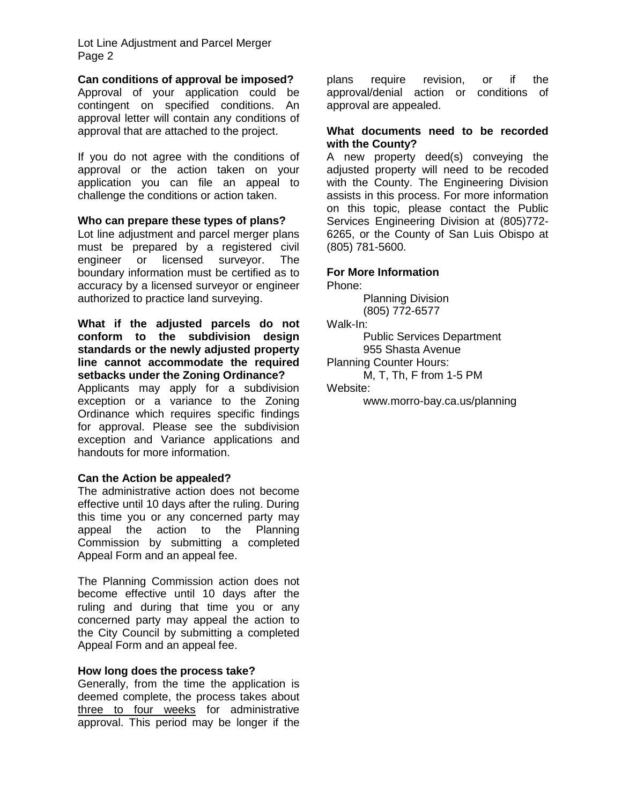Lot Line Adjustment and Parcel Merger Page 2

#### **Can conditions of approval be imposed?**

Approval of your application could be contingent on specified conditions. An approval letter will contain any conditions of approval that are attached to the project.

If you do not agree with the conditions of approval or the action taken on your application you can file an appeal to challenge the conditions or action taken.

#### **Who can prepare these types of plans?**

Lot line adjustment and parcel merger plans must be prepared by a registered civil engineer or licensed surveyor. The boundary information must be certified as to accuracy by a licensed surveyor or engineer authorized to practice land surveying.

#### **What if the adjusted parcels do not conform to the subdivision design standards or the newly adjusted property line cannot accommodate the required setbacks under the Zoning Ordinance?**

Applicants may apply for a subdivision exception or a variance to the Zoning Ordinance which requires specific findings for approval. Please see the subdivision exception and Variance applications and handouts for more information.

#### **Can the Action be appealed?**

The administrative action does not become effective until 10 days after the ruling. During this time you or any concerned party may appeal the action to the Planning Commission by submitting a completed Appeal Form and an appeal fee.

The Planning Commission action does not become effective until 10 days after the ruling and during that time you or any concerned party may appeal the action to the City Council by submitting a completed Appeal Form and an appeal fee.

#### **How long does the process take?**

Generally, from the time the application is deemed complete, the process takes about three to four weeks for administrative approval. This period may be longer if the plans require revision, or if the approval/denial action or conditions of approval are appealed.

#### **What documents need to be recorded with the County?**

A new property deed(s) conveying the adjusted property will need to be recoded with the County. The Engineering Division assists in this process. For more information on this topic, please contact the Public Services Engineering Division at (805)772- 6265, or the County of San Luis Obispo at (805) 781-5600.

#### **For More Information**

Phone:

Planning Division (805) 772-6577

Walk-In:

Public Services Department 955 Shasta Avenue

Planning Counter Hours:

M, T, Th, F from 1-5 PM Website:

www.morro-bay.ca.us/planning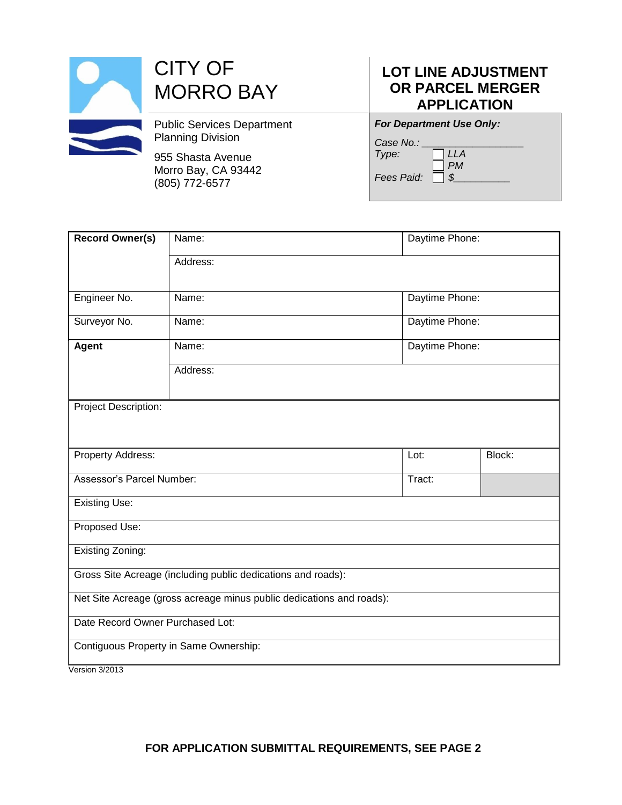| <b>CITY OF</b><br><b>MORRO BAY</b>                            |  |
|---------------------------------------------------------------|--|
| <b>Public Services Department</b><br><b>Planning Division</b> |  |
| 955 Shasta Avenue<br>Morro Bay, CA 93442<br>(805) 772-6577    |  |

### **LOT LINE ADJUSTMENT OR PARCEL MERGER APPLICATION**

| <b>For Department Use Only:</b>        |  |  |
|----------------------------------------|--|--|
| Case No.:<br>Type:<br>LLA<br><b>PM</b> |  |  |
| Fees Paid:                             |  |  |

| <b>Record Owner(s)</b>                                               | Name:    | Daytime Phone: |        |  |  |
|----------------------------------------------------------------------|----------|----------------|--------|--|--|
|                                                                      | Address: |                |        |  |  |
|                                                                      |          |                |        |  |  |
| Engineer No.                                                         | Name:    | Daytime Phone: |        |  |  |
| Surveyor No.                                                         | Name:    | Daytime Phone: |        |  |  |
| Agent                                                                | Name:    | Daytime Phone: |        |  |  |
|                                                                      | Address: |                |        |  |  |
|                                                                      |          |                |        |  |  |
| Project Description:                                                 |          |                |        |  |  |
|                                                                      |          |                |        |  |  |
| Property Address:                                                    |          | Lot:           | Block: |  |  |
| Assessor's Parcel Number:                                            |          | Tract:         |        |  |  |
| <b>Existing Use:</b>                                                 |          |                |        |  |  |
| Proposed Use:                                                        |          |                |        |  |  |
| Existing Zoning:                                                     |          |                |        |  |  |
| Gross Site Acreage (including public dedications and roads):         |          |                |        |  |  |
| Net Site Acreage (gross acreage minus public dedications and roads): |          |                |        |  |  |
| Date Record Owner Purchased Lot:                                     |          |                |        |  |  |
| Contiguous Property in Same Ownership:                               |          |                |        |  |  |
| Version 3/2013                                                       |          |                |        |  |  |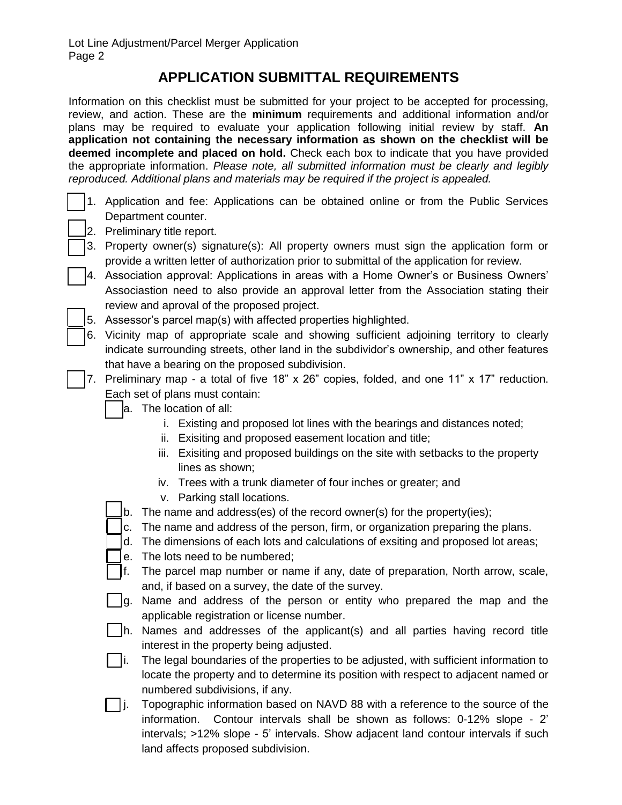## **APPLICATION SUBMITTAL REQUIREMENTS**

Information on this checklist must be submitted for your project to be accepted for processing, review, and action. These are the **minimum** requirements and additional information and/or plans may be required to evaluate your application following initial review by staff. **An application not containing the necessary information as shown on the checklist will be deemed incomplete and placed on hold.** Check each box to indicate that you have provided the appropriate information. *Please note, all submitted information must be clearly and legibly reproduced. Additional plans and materials may be required if the project is appealed.*

- 1. Application and fee: Applications can be obtained online or from the Public Services Department counter.
- 2. Preliminary title report.
- 3. Property owner(s) signature(s): All property owners must sign the application form or provide a written letter of authorization prior to submittal of the application for review.
- 4. Association approval: Applications in areas with a Home Owner's or Business Owners' Associastion need to also provide an approval letter from the Association stating their review and aproval of the proposed project.
	- 5. Assessor's parcel map(s) with affected properties highlighted.
- 6. Vicinity map of appropriate scale and showing sufficient adjoining territory to clearly indicate surrounding streets, other land in the subdividor's ownership, and other features that have a bearing on the proposed subdivision.
- 7. Preliminary map a total of five 18" x 26" copies, folded, and one 11" x 17" reduction. Each set of plans must contain:
	- a. The location of all:
		- i. Existing and proposed lot lines with the bearings and distances noted;
		- ii. Exisiting and proposed easement location and title;
		- iii. Exisiting and proposed buildings on the site with setbacks to the property lines as shown;
		- iv. Trees with a trunk diameter of four inches or greater; and
		- v. Parking stall locations.
	- b. The name and address(es) of the record owner(s) for the property(ies);
	- c. The name and address of the person, firm, or organization preparing the plans.
	- d. The dimensions of each lots and calculations of exsiting and proposed lot areas;
	- e. The lots need to be numbered;
	- f. The parcel map number or name if any, date of preparation, North arrow, scale, and, if based on a survey, the date of the survey.
	- g. Name and address of the person or entity who prepared the map and the applicable registration or license number.
	- h. Names and addresses of the applicant(s) and all parties having record title interest in the property being adjusted.
	- $\Box$ i. The legal boundaries of the properties to be adjusted, with sufficient information to locate the property and to determine its position with respect to adjacent named or numbered subdivisions, if any.
	- □ j. Topographic information based on NAVD 88 with a reference to the source of the information. Contour intervals shall be shown as follows: 0-12% slope - 2' intervals; >12% slope - 5' intervals. Show adjacent land contour intervals if such land affects proposed subdivision.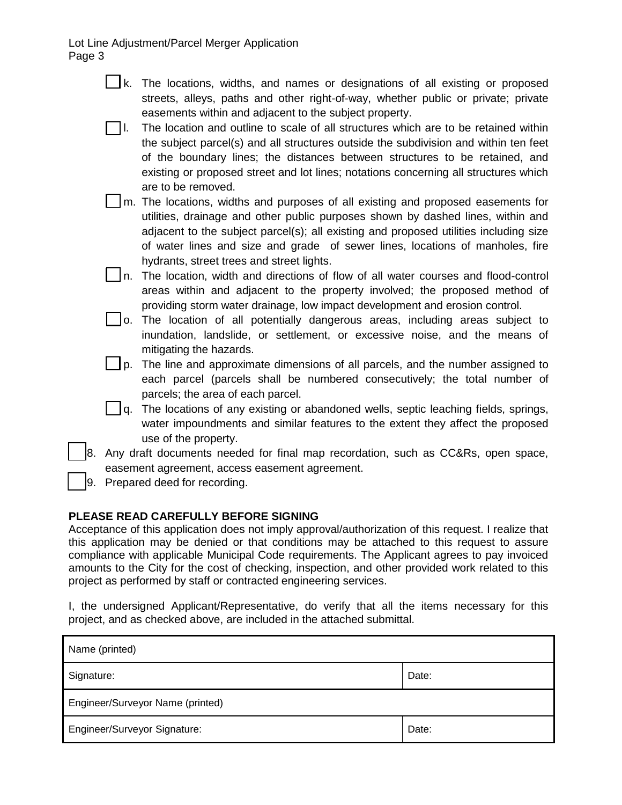Lot Line Adjustment/Parcel Merger Application Page 3

- $\Box$ k. The locations, widths, and names or designations of all existing or proposed streets, alleys, paths and other right-of-way, whether public or private; private easements within and adjacent to the subject property.
- l. The location and outline to scale of all structures which are to be retained within the subject parcel(s) and all structures outside the subdivision and within ten feet of the boundary lines; the distances between structures to be retained, and existing or proposed street and lot lines; notations concerning all structures which are to be removed.
- m. The locations, widths and purposes of all existing and proposed easements for utilities, drainage and other public purposes shown by dashed lines, within and adjacent to the subject parcel(s); all existing and proposed utilities including size of water lines and size and grade of sewer lines, locations of manholes, fire hydrants, street trees and street lights.
- In. The location, width and directions of flow of all water courses and flood-control areas within and adjacent to the property involved; the proposed method of providing storm water drainage, low impact development and erosion control.
- $\Box$ o. The location of all potentially dangerous areas, including areas subject to inundation, landslide, or settlement, or excessive noise, and the means of mitigating the hazards.
- $\vert \ \vert$  p. The line and approximate dimensions of all parcels, and the number assigned to each parcel (parcels shall be numbered consecutively; the total number of parcels; the area of each parcel.
- $\vert \ \vert$  q. The locations of any existing or abandoned wells, septic leaching fields, springs, water impoundments and similar features to the extent they affect the proposed use of the property.
- 8. Any draft documents needed for final map recordation, such as CC&Rs, open space, easement agreement, access easement agreement.
- 9. Prepared deed for recording.

### **PLEASE READ CAREFULLY BEFORE SIGNING**

Acceptance of this application does not imply approval/authorization of this request. I realize that this application may be denied or that conditions may be attached to this request to assure compliance with applicable Municipal Code requirements. The Applicant agrees to pay invoiced amounts to the City for the cost of checking, inspection, and other provided work related to this project as performed by staff or contracted engineering services.

I, the undersigned Applicant/Representative, do verify that all the items necessary for this project, and as checked above, are included in the attached submittal.

| Name (printed)                   |       |  |  |  |
|----------------------------------|-------|--|--|--|
| Signature:                       | Date: |  |  |  |
| Engineer/Surveyor Name (printed) |       |  |  |  |
| Engineer/Surveyor Signature:     | Date: |  |  |  |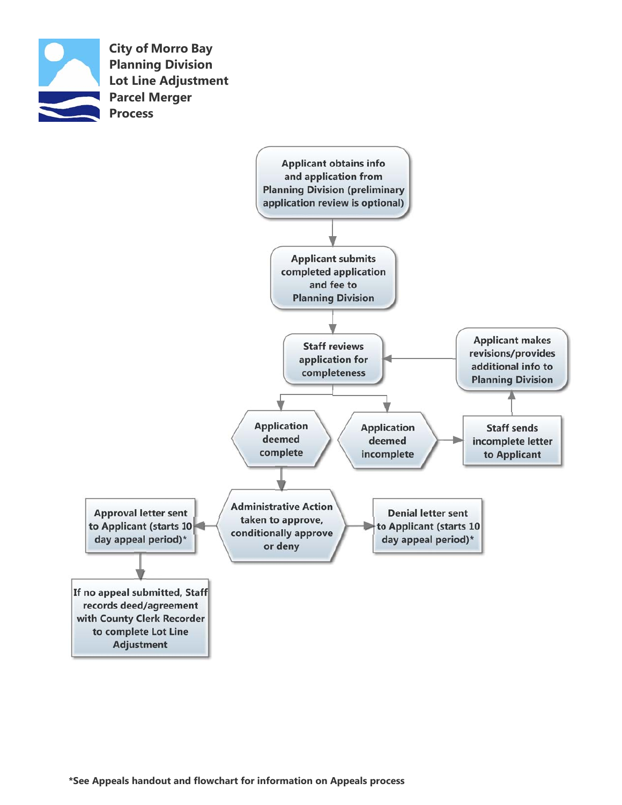